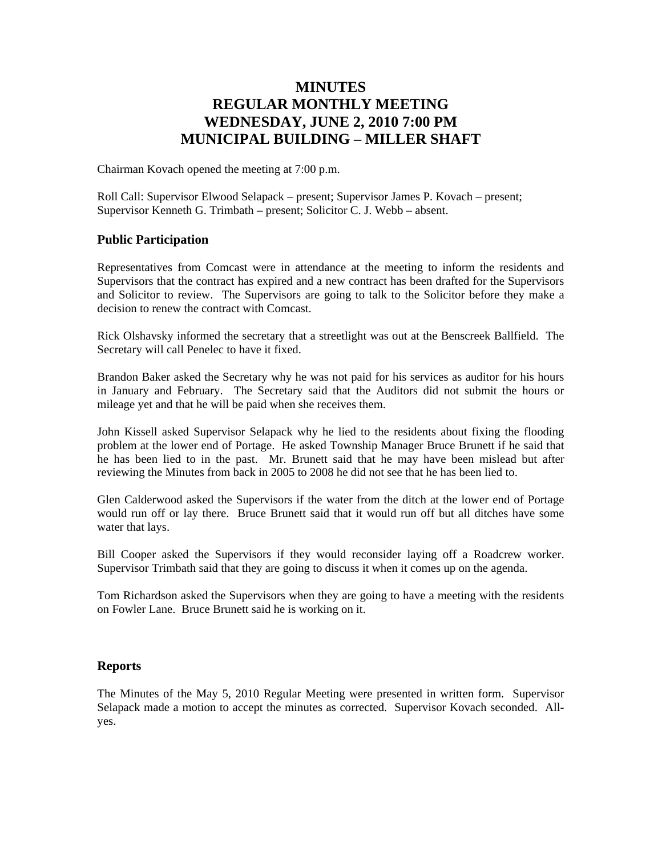# **MINUTES REGULAR MONTHLY MEETING WEDNESDAY, JUNE 2, 2010 7:00 PM MUNICIPAL BUILDING – MILLER SHAFT**

Chairman Kovach opened the meeting at 7:00 p.m.

Roll Call: Supervisor Elwood Selapack – present; Supervisor James P. Kovach – present; Supervisor Kenneth G. Trimbath – present; Solicitor C. J. Webb – absent.

## **Public Participation**

Representatives from Comcast were in attendance at the meeting to inform the residents and Supervisors that the contract has expired and a new contract has been drafted for the Supervisors and Solicitor to review. The Supervisors are going to talk to the Solicitor before they make a decision to renew the contract with Comcast.

Rick Olshavsky informed the secretary that a streetlight was out at the Benscreek Ballfield. The Secretary will call Penelec to have it fixed.

Brandon Baker asked the Secretary why he was not paid for his services as auditor for his hours in January and February. The Secretary said that the Auditors did not submit the hours or mileage yet and that he will be paid when she receives them.

John Kissell asked Supervisor Selapack why he lied to the residents about fixing the flooding problem at the lower end of Portage. He asked Township Manager Bruce Brunett if he said that he has been lied to in the past. Mr. Brunett said that he may have been mislead but after reviewing the Minutes from back in 2005 to 2008 he did not see that he has been lied to.

Glen Calderwood asked the Supervisors if the water from the ditch at the lower end of Portage would run off or lay there. Bruce Brunett said that it would run off but all ditches have some water that lays.

Bill Cooper asked the Supervisors if they would reconsider laying off a Roadcrew worker. Supervisor Trimbath said that they are going to discuss it when it comes up on the agenda.

Tom Richardson asked the Supervisors when they are going to have a meeting with the residents on Fowler Lane. Bruce Brunett said he is working on it.

#### **Reports**

The Minutes of the May 5, 2010 Regular Meeting were presented in written form. Supervisor Selapack made a motion to accept the minutes as corrected. Supervisor Kovach seconded. Allyes.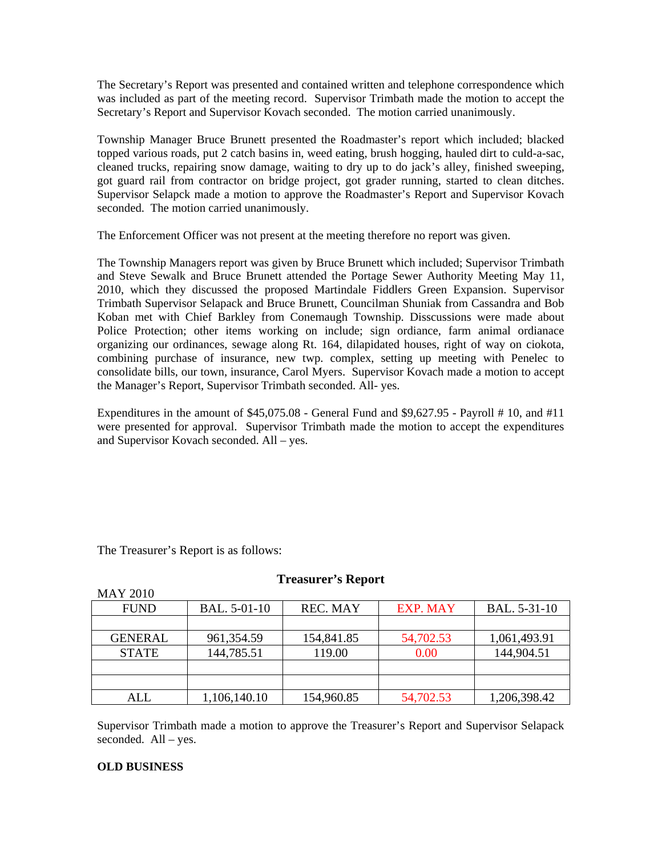The Secretary's Report was presented and contained written and telephone correspondence which was included as part of the meeting record. Supervisor Trimbath made the motion to accept the Secretary's Report and Supervisor Kovach seconded. The motion carried unanimously.

Township Manager Bruce Brunett presented the Roadmaster's report which included; blacked topped various roads, put 2 catch basins in, weed eating, brush hogging, hauled dirt to culd-a-sac, cleaned trucks, repairing snow damage, waiting to dry up to do jack's alley, finished sweeping, got guard rail from contractor on bridge project, got grader running, started to clean ditches. Supervisor Selapck made a motion to approve the Roadmaster's Report and Supervisor Kovach seconded. The motion carried unanimously.

The Enforcement Officer was not present at the meeting therefore no report was given.

The Township Managers report was given by Bruce Brunett which included; Supervisor Trimbath and Steve Sewalk and Bruce Brunett attended the Portage Sewer Authority Meeting May 11, 2010, which they discussed the proposed Martindale Fiddlers Green Expansion. Supervisor Trimbath Supervisor Selapack and Bruce Brunett, Councilman Shuniak from Cassandra and Bob Koban met with Chief Barkley from Conemaugh Township. Disscussions were made about Police Protection; other items working on include; sign ordiance, farm animal ordianace organizing our ordinances, sewage along Rt. 164, dilapidated houses, right of way on ciokota, combining purchase of insurance, new twp. complex, setting up meeting with Penelec to consolidate bills, our town, insurance, Carol Myers. Supervisor Kovach made a motion to accept the Manager's Report, Supervisor Trimbath seconded. All- yes.

Expenditures in the amount of  $$45,075.08$  - General Fund and  $$9,627.95$  - Payroll # 10, and #11 were presented for approval. Supervisor Trimbath made the motion to accept the expenditures and Supervisor Kovach seconded. All – yes.

The Treasurer's Report is as follows:

| <b>MAY 2010</b> |              |                 |           |              |
|-----------------|--------------|-----------------|-----------|--------------|
| <b>FUND</b>     | BAL. 5-01-10 | <b>REC. MAY</b> | EXP. MAY  | BAL. 5-31-10 |
|                 |              |                 |           |              |
| <b>GENERAL</b>  | 961, 354. 59 | 154,841.85      | 54,702.53 | 1,061,493.91 |
| <b>STATE</b>    | 144,785.51   | 119.00          | 0.00      | 144,904.51   |
|                 |              |                 |           |              |
|                 |              |                 |           |              |
| ALL             | 1,106,140.10 | 154,960.85      | 54,702.53 | 1,206,398.42 |

#### **Treasurer's Report**

Supervisor Trimbath made a motion to approve the Treasurer's Report and Supervisor Selapack seconded. All – yes.

#### **OLD BUSINESS**